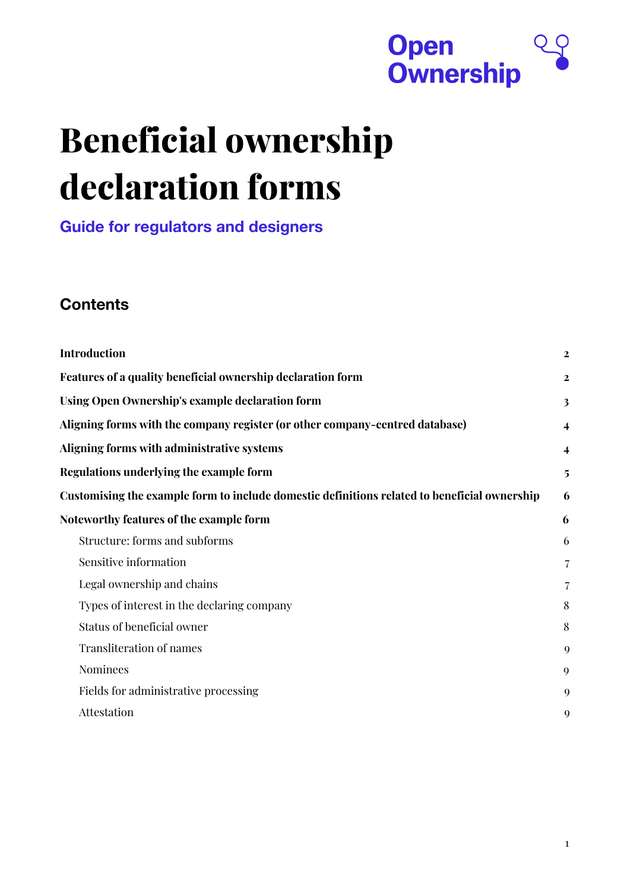

# **Beneficial ownership declaration forms**

**Guide for regulators and designers**

#### **Contents**

| <b>Introduction</b>                                                                          | $\mathbf{2}$            |
|----------------------------------------------------------------------------------------------|-------------------------|
| Features of a quality beneficial ownership declaration form                                  | $\mathbf{2}$            |
| Using Open Ownership's example declaration form                                              | 3                       |
| Aligning forms with the company register (or other company-centred database)                 | $\overline{\mathbf{4}}$ |
| Aligning forms with administrative systems                                                   | 4                       |
| Regulations underlying the example form                                                      | 5                       |
| Customising the example form to include domestic definitions related to beneficial ownership | 6                       |
| Noteworthy features of the example form                                                      | 6                       |
| Structure: forms and subforms                                                                | 6                       |
| Sensitive information                                                                        | 7                       |
| Legal ownership and chains                                                                   | 7                       |
| Types of interest in the declaring company                                                   | 8                       |
| Status of beneficial owner                                                                   | 8                       |
| <b>Transliteration of names</b>                                                              | 9                       |
| <b>Nominees</b>                                                                              | 9                       |
| Fields for administrative processing                                                         | 9                       |
| Attestation                                                                                  | 9                       |
|                                                                                              |                         |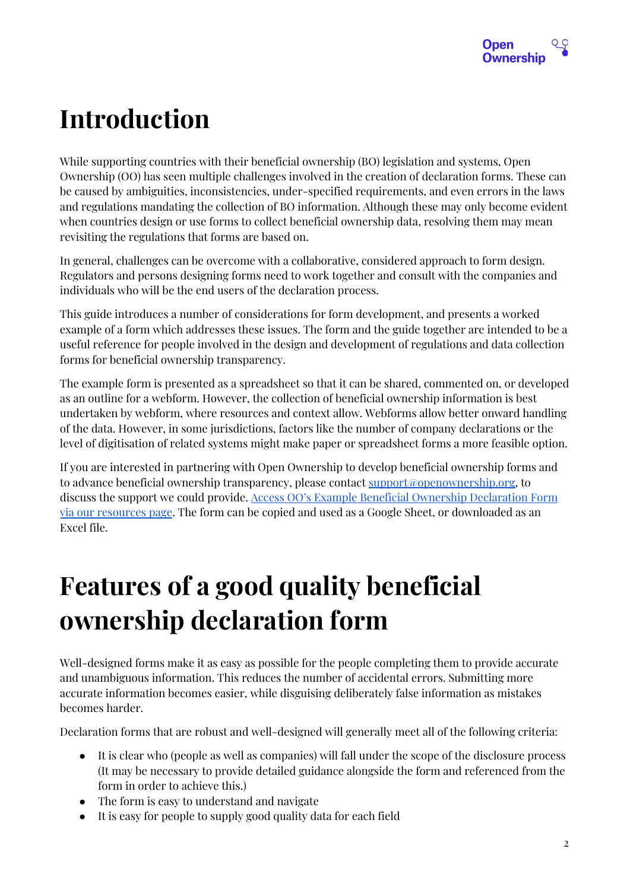

### <span id="page-1-0"></span>**Introduction**

While supporting countries with their beneficial ownership (BO) legislation and systems, Open Ownership (OO) has seen multiple challenges involved in the creation of declaration forms. These can be caused by ambiguities, inconsistencies, under-specified requirements, and even errors in the laws and regulations mandating the collection of BO information. Although these may only become evident when countries design or use forms to collect beneficial ownership data, resolving them may mean revisiting the regulations that forms are based on.

In general, challenges can be overcome with a collaborative, considered approach to form design. Regulators and persons designing forms need to work together and consult with the companies and individuals who will be the end users of the declaration process.

This guide introduces a number of considerations for form development, and presents a worked example of a form which addresses these issues. The form and the guide together are intended to be a useful reference for people involved in the design and development of regulations and data collection forms for beneficial ownership transparency.

The example form is presented as a spreadsheet so that it can be shared, commented on, or developed as an outline for a webform. However, the collection of beneficial ownership information is best undertaken by webform, where resources and context allow. Webforms allow better onward handling of the data. However, in some jurisdictions, factors like the number of company declarations or the level of digitisation of related systems might make paper or spreadsheet forms a more feasible option.

If you are interested in partnering with Open Ownership to develop beneficial ownership forms and to advance beneficial ownership transparency, please contact <u>support@openownership.org</u>, to discuss the support we could provide. Access OO's Example Beneficial Ownership [Declaration](https://docs.google.com/spreadsheets/d/1oPJpRserD8AQAii1pRmrfpKekVqgwpM6Dl-kfybpD3o/edit#gid=1777743984) Form via our [resources](https://docs.google.com/spreadsheets/d/1oPJpRserD8AQAii1pRmrfpKekVqgwpM6Dl-kfybpD3o/edit#gid=1777743984) page. The form can be copied and used as a Google Sheet, or downloaded as an Excel file.

# <span id="page-1-1"></span>**Features of a good quality beneficial ownership declaration form**

Well-designed forms make it as easy as possible for the people completing them to provide accurate and unambiguous information. This reduces the number of accidental errors. Submitting more accurate information becomes easier, while disguising deliberately false information as mistakes becomes harder.

Declaration forms that are robust and well-designed will generally meet all of the following criteria:

- It is clear who (people as well as companies) will fall under the scope of the disclosure process (It may be necessary to provide detailed guidance alongside the form and referenced from the form in order to achieve this.)
- The form is easy to understand and navigate
- It is easy for people to supply good quality data for each field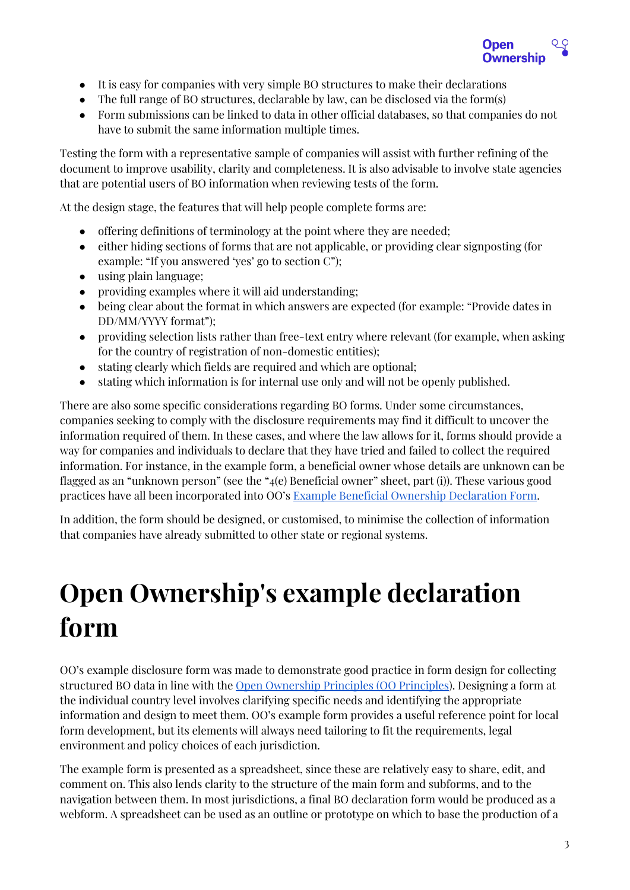

- It is easy for companies with very simple BO structures to make their declarations
- The full range of BO structures, declarable by law, can be disclosed via the form(s)
- Form submissions can be linked to data in other official databases, so that companies do not have to submit the same information multiple times.

Testing the form with a representative sample of companies will assist with further refining of the document to improve usability, clarity and completeness. It is also advisable to involve state agencies that are potential users of BO information when reviewing tests of the form.

At the design stage, the features that will help people complete forms are:

- offering definitions of terminology at the point where they are needed;
- either hiding sections of forms that are not applicable, or providing clear signposting (for example: "If you answered 'yes' go to section C");
- using plain language;
- providing examples where it will aid understanding;
- being clear about the format in which answers are expected (for example: "Provide dates in DD/MM/YYYY format");
- providing selection lists rather than free-text entry where relevant (for example, when asking for the country of registration of non-domestic entities);
- stating clearly which fields are required and which are optional;
- stating which information is for internal use only and will not be openly published.

There are also some specific considerations regarding BO forms. Under some circumstances, companies seeking to comply with the disclosure requirements may find it difficult to uncover the information required of them. In these cases, and where the law allows for it, forms should provide a way for companies and individuals to declare that they have tried and failed to collect the required information. For instance, in the example form, a beneficial owner whose details are unknown can be flagged as an "unknown person" (see the "4(e) Beneficial owner" sheet, part (i)). These various good practices have all been incorporated into OO's Example Beneficial Ownership [Declaration](https://docs.google.com/spreadsheets/d/1oPJpRserD8AQAii1pRmrfpKekVqgwpM6Dl-kfybpD3o/edit#gid=1777743984) Form.

In addition, the form should be designed, or customised, to minimise the collection of information that companies have already submitted to other state or regional systems.

# <span id="page-2-0"></span>**Open Ownership's example declaration form**

OO's example disclosure form was made to demonstrate good practice in form design for collecting structured BO data in line with the Open [Ownership](https://www.openownership.org/framework/) Principles (OO Principles). Designing a form at the individual country level involves clarifying specific needs and identifying the appropriate information and design to meet them. OO's example form provides a useful reference point for local form development, but its elements will always need tailoring to fit the requirements, legal environment and policy choices of each jurisdiction.

The example form is presented as a spreadsheet, since these are relatively easy to share, edit, and comment on. This also lends clarity to the structure of the main form and subforms, and to the navigation between them. In most jurisdictions, a final BO declaration form would be produced as a webform. A spreadsheet can be used as an outline or prototype on which to base the production of a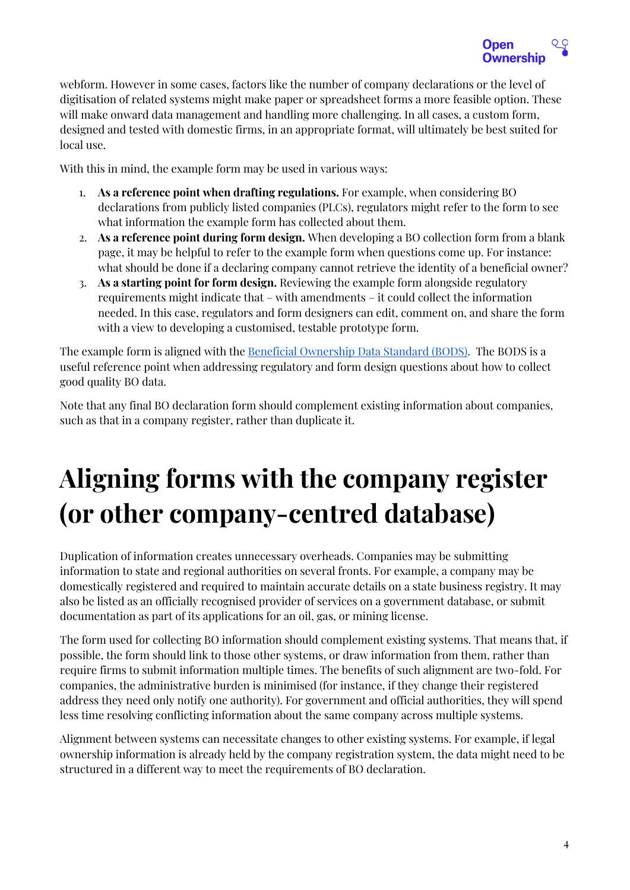

webform. However in some cases, factors like the number of company declarations or the level of digitisation of related systems might make paper or spreadsheet forms a more feasible option. These will make onward data management and handling more challenging. In all cases, a custom form, designed and tested with domestic firms, in an appropriate format, will ultimately be best suited for local use.

With this in mind, the example form may be used in various ways:

- 1. **As a reference point when drafting regulations.** For example, when considering BO declarations from publicly listed companies (PLCs), regulators might refer to the form to see what information the example form has collected about them.
- 2. **As a reference point during form design.** When developing a BO collection form from a blank page, it may be helpful to refer to the example form when questions come up. For instance: what should be done if a declaring company cannot retrieve the identity of a beneficial owner?
- 3. **As a starting point for form design.** Reviewing the example form alongside regulatory requirements might indicate that – with amendments – it could collect the information needed. In this case, regulators and form designers can edit, comment on, and share the form with a view to developing a customised, testable prototype form.

The example form is aligned with the **Beneficial [Ownership](http://standard.openownership.org/) Data Standard (BODS)**. The BODS is a useful reference point when addressing regulatory and form design questions about how to collect good quality BO data.

Note that any final BO declaration form should complement existing information about companies, such as that in a company register, rather than duplicate it.

# <span id="page-3-0"></span>**Aligning forms with the company register (or other company-centred database)**

Duplication of information creates unnecessary overheads. Companies may be submitting information to state and regional authorities on several fronts. For example, a company may be domestically registered and required to maintain accurate details on a state business registry. It may also be listed as an officially recognised provider of services on a government database, or submit documentation as part of its applications for an oil, gas, or mining license.

The form used for collecting BO information should complement existing systems. That means that, if possible, the form should link to those other systems, or draw information from them, rather than require firms to submit information multiple times. The benefits of such alignment are two-fold. For companies, the administrative burden is minimised (for instance, if they change their registered address they need only notify one authority). For government and official authorities, they will spend less time resolving conflicting information about the same company across multiple systems.

Alignment between systems can necessitate changes to other existing systems. For example, if legal ownership information is already held by the company registration system, the data might need to be structured in a different way to meet the requirements of BO declaration.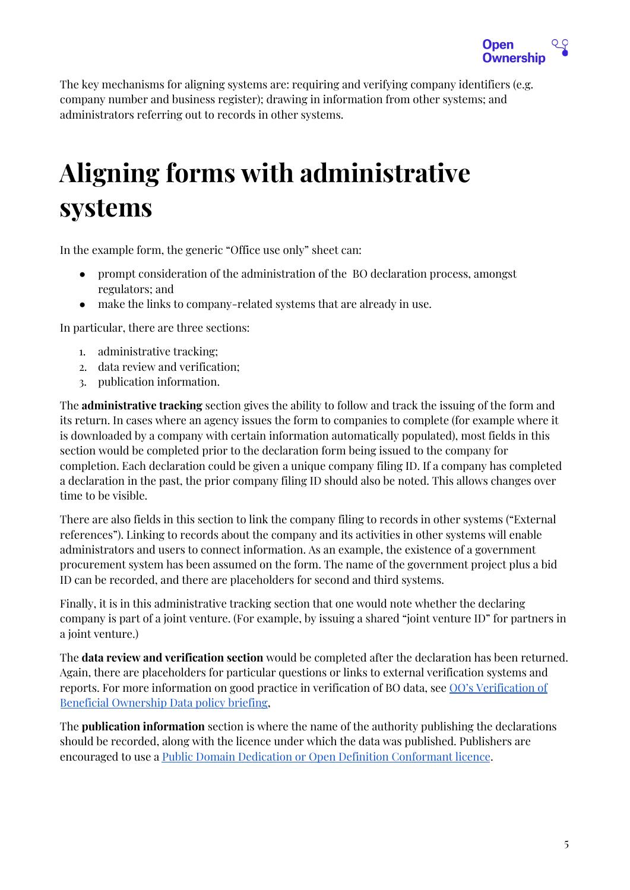

The key mechanisms for aligning systems are: requiring and verifying company identifiers (e.g. company number and business register); drawing in information from other systems; and administrators referring out to records in other systems.

### <span id="page-4-0"></span>**Aligning forms with administrative systems**

In the example form, the generic "Office use only" sheet can:

- prompt consideration of the administration of the BO declaration process, amongst regulators; and
- make the links to company-related systems that are already in use.

In particular, there are three sections:

- 1. administrative tracking;
- 2. data review and verification;
- 3. publication information.

The **administrative tracking** section gives the ability to follow and track the issuing of the form and its return. In cases where an agency issues the form to companies to complete (for example where it is downloaded by a company with certain information automatically populated), most fields in this section would be completed prior to the declaration form being issued to the company for completion. Each declaration could be given a unique company filing ID. If a company has completed a declaration in the past, the prior company filing ID should also be noted. This allows changes over time to be visible.

There are also fields in this section to link the company filing to records in other systems ("External references"). Linking to records about the company and its activities in other systems will enable administrators and users to connect information. As an example, the existence of a government procurement system has been assumed on the form. The name of the government project plus a bid ID can be recorded, and there are placeholders for second and third systems.

Finally, it is in this administrative tracking section that one would note whether the declaring company is part of a joint venture. (For example, by issuing a shared "joint venture ID" for partners in a joint venture.)

The **data review and verification section** would be completed after the declaration has been returned. Again, there are placeholders for particular questions or links to external verification systems and reports. For more information on good practice in verification of BO data, see OO's [Verification](https://www.openownership.org/uploads/OpenOwnership%20Verification%20Briefing.pdf) of Beneficial [Ownership](https://www.openownership.org/uploads/OpenOwnership%20Verification%20Briefing.pdf) Data policy briefing,

The **publication information** section is where the name of the authority publishing the declarations should be recorded, along with the licence under which the data was published. Publishers are encouraged to use a Public Domain Dedication or Open Definition [Conformant](https://opendefinition.org/licenses/) licence.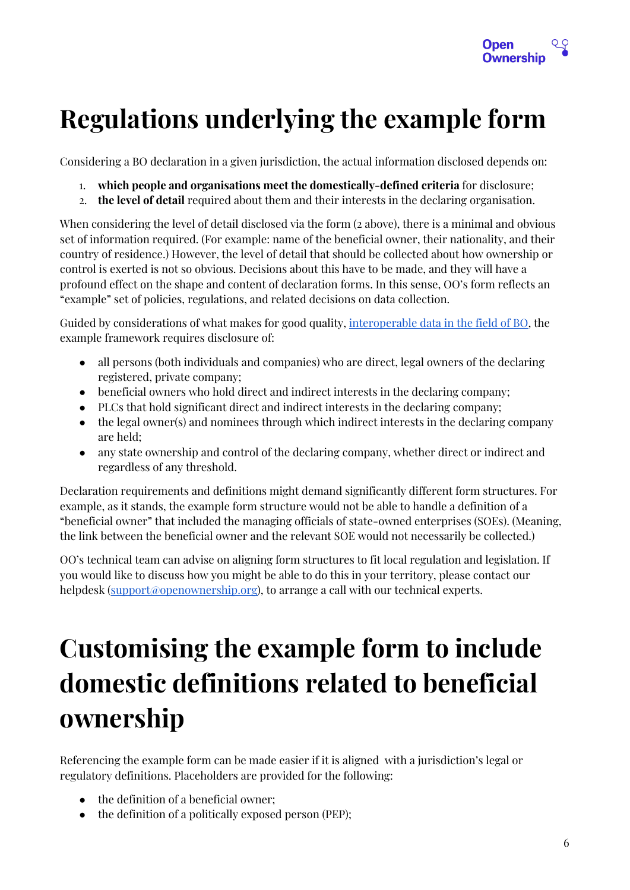

# <span id="page-5-0"></span>**Regulations underlying the example form**

Considering a BO declaration in a given jurisdiction, the actual information disclosed depends on:

- 1. **which people and organisations meet the domestically-defined criteria** for disclosure;
- 2. **the level of detail** required about them and their interests in the declaring organisation.

When considering the level of detail disclosed via the form (2 above), there is a minimal and obvious set of information required. (For example: name of the beneficial owner, their nationality, and their country of residence.) However, the level of detail that should be collected about how ownership or control is exerted is not so obvious. Decisions about this have to be made, and they will have a profound effect on the shape and content of declaration forms. In this sense, OO's form reflects an "example" set of policies, regulations, and related decisions on data collection.

Guided by considerations of what makes for good quality, [interoperable](https://www.openownership.org/framework/sufficient-detail/) data in the field of BO, the example framework requires disclosure of:

- all persons (both individuals and companies) who are direct, legal owners of the declaring registered, private company;
- beneficial owners who hold direct and indirect interests in the declaring company;
- PLCs that hold significant direct and indirect interests in the declaring company;
- the legal owner(s) and nominees through which indirect interests in the declaring company are held;
- any state ownership and control of the declaring company, whether direct or indirect and regardless of any threshold.

Declaration requirements and definitions might demand significantly different form structures. For example, as it stands, the example form structure would not be able to handle a definition of a "beneficial owner" that included the managing officials of state-owned enterprises (SOEs). (Meaning, the link between the beneficial owner and the relevant SOE would not necessarily be collected.)

OO's technical team can advise on aligning form structures to fit local regulation and legislation. If you would like to discuss how you might be able to do this in your territory, please contact our helpdesk ([support@openownership.org\)](mailto:support@openownership.org), to arrange a call with our technical experts.

# <span id="page-5-1"></span>**Customising the example form to include domestic definitions related to beneficial ownership**

Referencing the example form can be made easier if it is aligned with a jurisdiction's legal or regulatory definitions. Placeholders are provided for the following:

- the definition of a beneficial owner;
- the definition of a politically exposed person (PEP);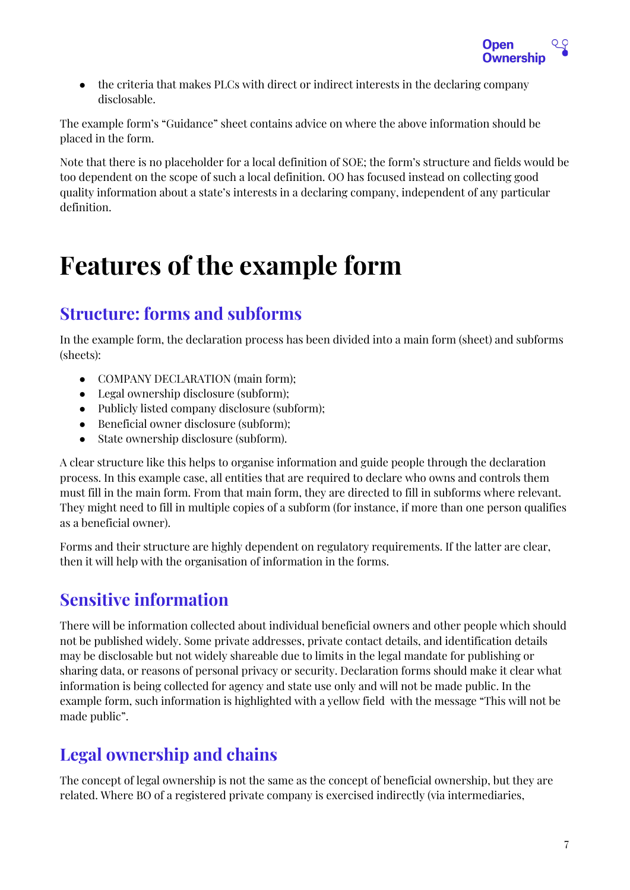

• the criteria that makes PLCs with direct or indirect interests in the declaring company disclosable.

The example form's "Guidance" sheet contains advice on where the above information should be placed in the form.

Note that there is no placeholder for a local definition of SOE; the form's structure and fields would be too dependent on the scope of such a local definition. OO has focused instead on collecting good quality information about a state's interests in a declaring company, independent of any particular definition.

### <span id="page-6-0"></span>**Features of the example form**

### <span id="page-6-1"></span>**Structure: forms and subforms**

In the example form, the declaration process has been divided into a main form (sheet) and subforms (sheets):

- COMPANY DECLARATION (main form);
- Legal ownership disclosure (subform);
- Publicly listed company disclosure (subform);
- Beneficial owner disclosure (subform);
- State ownership disclosure (subform).

A clear structure like this helps to organise information and guide people through the declaration process. In this example case, all entities that are required to declare who owns and controls them must fill in the main form. From that main form, they are directed to fill in subforms where relevant. They might need to fill in multiple copies of a subform (for instance, if more than one person qualifies as a beneficial owner).

Forms and their structure are highly dependent on regulatory requirements. If the latter are clear, then it will help with the organisation of information in the forms.

### <span id="page-6-2"></span>**Sensitive information**

There will be information collected about individual beneficial owners and other people which should not be published widely. Some private addresses, private contact details, and identification details may be disclosable but not widely shareable due to limits in the legal mandate for publishing or sharing data, or reasons of personal privacy or security. Declaration forms should make it clear what information is being collected for agency and state use only and will not be made public. In the example form, such information is highlighted with a yellow field with the message "This will not be made public".

### <span id="page-6-3"></span>**Legal ownership and chains**

The concept of legal ownership is not the same as the concept of beneficial ownership, but they are related. Where BO of a registered private company is exercised indirectly (via intermediaries,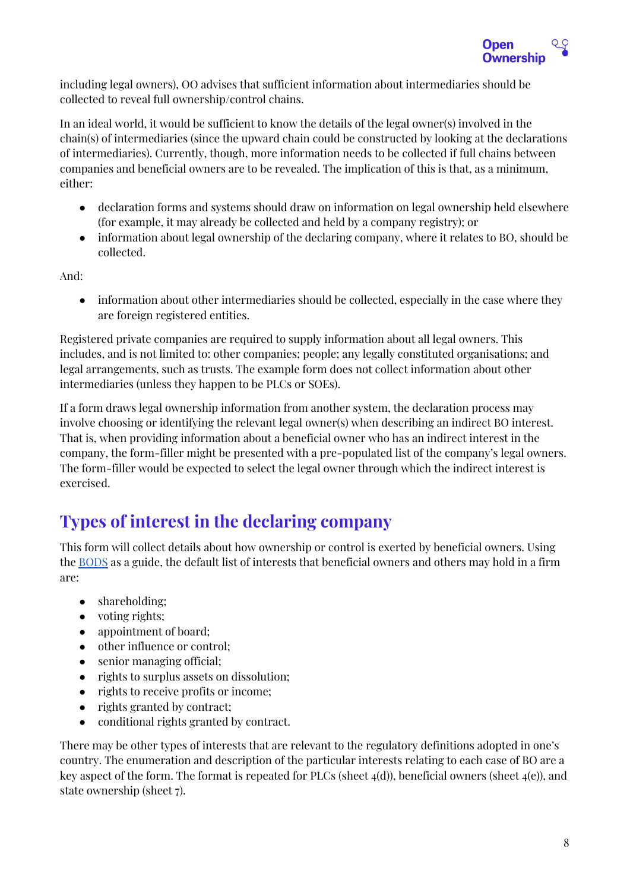

including legal owners), OO advises that sufficient information about intermediaries should be collected to reveal full ownership/control chains.

In an ideal world, it would be sufficient to know the details of the legal owner(s) involved in the chain(s) of intermediaries (since the upward chain could be constructed by looking at the declarations of intermediaries). Currently, though, more information needs to be collected if full chains between companies and beneficial owners are to be revealed. The implication of this is that, as a minimum, either:

- declaration forms and systems should draw on information on legal ownership held elsewhere (for example, it may already be collected and held by a company registry); or
- information about legal ownership of the declaring company, where it relates to BO, should be collected.

And:

• information about other intermediaries should be collected, especially in the case where they are foreign registered entities.

Registered private companies are required to supply information about all legal owners. This includes, and is not limited to: other companies; people; any legally constituted organisations; and legal arrangements, such as trusts. The example form does not collect information about other intermediaries (unless they happen to be PLCs or SOEs).

If a form draws legal ownership information from another system, the declaration process may involve choosing or identifying the relevant legal owner(s) when describing an indirect BO interest. That is, when providing information about a beneficial owner who has an indirect interest in the company, the form-filler might be presented with a pre-populated list of the company's legal owners. The form-filler would be expected to select the legal owner through which the indirect interest is exercised.

### <span id="page-7-0"></span>**Types of interest in the declaring company**

This form will collect details about how ownership or control is exerted by beneficial owners. Using the [BODS](http://standard.openownership.org/) as a guide, the default list of interests that beneficial owners and others may hold in a firm are:

- shareholding;
- voting rights;
- appointment of board;
- other influence or control;
- senior managing official;
- rights to surplus assets on dissolution;
- rights to receive profits or income;
- rights granted by contract;
- conditional rights granted by contract.

There may be other types of interests that are relevant to the regulatory definitions adopted in one's country. The enumeration and description of the particular interests relating to each case of BO are a key aspect of the form. The format is repeated for PLCs (sheet  $4(d)$ ), beneficial owners (sheet  $4(e)$ ), and state ownership (sheet 7).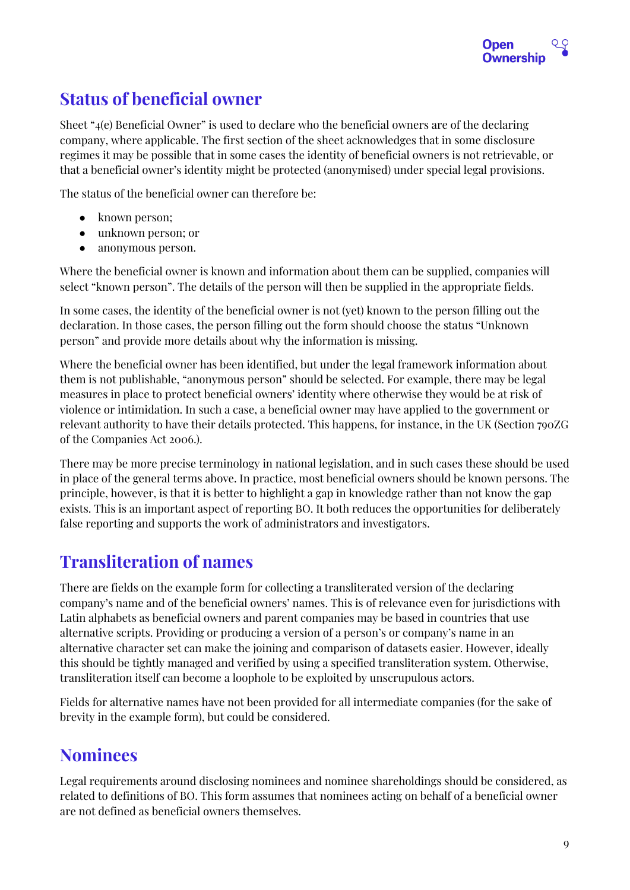

### <span id="page-8-0"></span>**Status of beneficial owner**

Sheet "4(e) Beneficial Owner" is used to declare who the beneficial owners are of the declaring company, where applicable. The first section of the sheet acknowledges that in some disclosure regimes it may be possible that in some cases the identity of beneficial owners is not retrievable, or that a beneficial owner's identity might be protected (anonymised) under special legal provisions.

The status of the beneficial owner can therefore be:

- known person;
- unknown person; or
- anonymous person.

Where the beneficial owner is known and information about them can be supplied, companies will select "known person". The details of the person will then be supplied in the appropriate fields.

In some cases, the identity of the beneficial owner is not (yet) known to the person filling out the declaration. In those cases, the person filling out the form should choose the status "Unknown person" and provide more details about why the information is missing.

Where the beneficial owner has been identified, but under the legal framework information about them is not publishable, "anonymous person" should be selected. For example, there may be legal measures in place to protect beneficial owners' identity where otherwise they would be at risk of violence or intimidation. In such a case, a beneficial owner may have applied to the government or relevant authority to have their details protected. This happens, for instance, in the UK (Section 790ZG of the Companies Act 2006.).

There may be more precise terminology in national legislation, and in such cases these should be used in place of the general terms above. In practice, most beneficial owners should be known persons. The principle, however, is that it is better to highlight a gap in knowledge rather than not know the gap exists. This is an important aspect of reporting BO. It both reduces the opportunities for deliberately false reporting and supports the work of administrators and investigators.

### <span id="page-8-1"></span>**Transliteration of names**

There are fields on the example form for collecting a transliterated version of the declaring company's name and of the beneficial owners' names. This is of relevance even for jurisdictions with Latin alphabets as beneficial owners and parent companies may be based in countries that use alternative scripts. Providing or producing a version of a person's or company's name in an alternative character set can make the joining and comparison of datasets easier. However, ideally this should be tightly managed and verified by using a specified transliteration system. Otherwise, transliteration itself can become a loophole to be exploited by unscrupulous actors.

Fields for alternative names have not been provided for all intermediate companies (for the sake of brevity in the example form), but could be considered.

#### <span id="page-8-2"></span>**Nominees**

Legal requirements around disclosing nominees and nominee shareholdings should be considered, as related to definitions of BO. This form assumes that nominees acting on behalf of a beneficial owner are not defined as beneficial owners themselves.